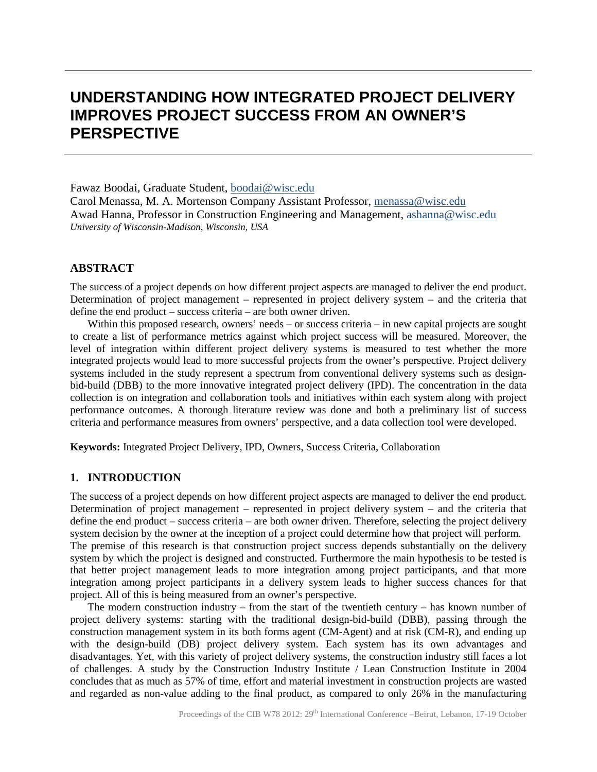# **UNDERSTANDING HOW INTEGRATED PROJECT DELIVERY IMPROVES PROJECT SUCCESS FROM AN OWNER'S PERSPECTIVE**

Fawaz Boodai, Graduate Student, boodai@wisc.edu Carol Menassa, M. A. Mortenson Company Assistant Professor, menassa@wisc.edu Awad Hanna, Professor in Construction Engineering and Management, ashanna@wisc.edu *University of Wisconsin-Madison, Wisconsin, USA*

# **ABSTRACT**

The success of a project depends on how different project aspects are managed to deliver the end product. Determination of project management – represented in project delivery system – and the criteria that define the end product – success criteria – are both owner driven.

Within this proposed research, owners' needs – or success criteria – in new capital projects are sought to create a list of performance metrics against which project success will be measured. Moreover, the level of integration within different project delivery systems is measured to test whether the more integrated projects would lead to more successful projects from the owner's perspective. Project delivery systems included in the study represent a spectrum from conventional delivery systems such as designbid-build (DBB) to the more innovative integrated project delivery (IPD). The concentration in the data collection is on integration and collaboration tools and initiatives within each system along with project performance outcomes. A thorough literature review was done and both a preliminary list of success criteria and performance measures from owners' perspective, and a data collection tool were developed.

**Keywords:** Integrated Project Delivery, IPD, Owners, Success Criteria, Collaboration

## **1. INTRODUCTION**

The success of a project depends on how different project aspects are managed to deliver the end product. Determination of project management – represented in project delivery system – and the criteria that define the end product – success criteria – are both owner driven. Therefore, selecting the project delivery system decision by the owner at the inception of a project could determine how that project will perform. The premise of this research is that construction project success depends substantially on the delivery system by which the project is designed and constructed. Furthermore the main hypothesis to be tested is that better project management leads to more integration among project participants, and that more integration among project participants in a delivery system leads to higher success chances for that project. All of this is being measured from an owner's perspective.

The modern construction industry – from the start of the twentieth century – has known number of project delivery systems: starting with the traditional design-bid-build (DBB), passing through the construction management system in its both forms agent (CM-Agent) and at risk (CM-R), and ending up with the design-build (DB) project delivery system. Each system has its own advantages and disadvantages. Yet, with this variety of project delivery systems, the construction industry still faces a lot of challenges. A study by the Construction Industry Institute / Lean Construction Institute in 2004 concludes that as much as 57% of time, effort and material investment in construction projects are wasted and regarded as non-value adding to the final product, as compared to only 26% in the manufacturing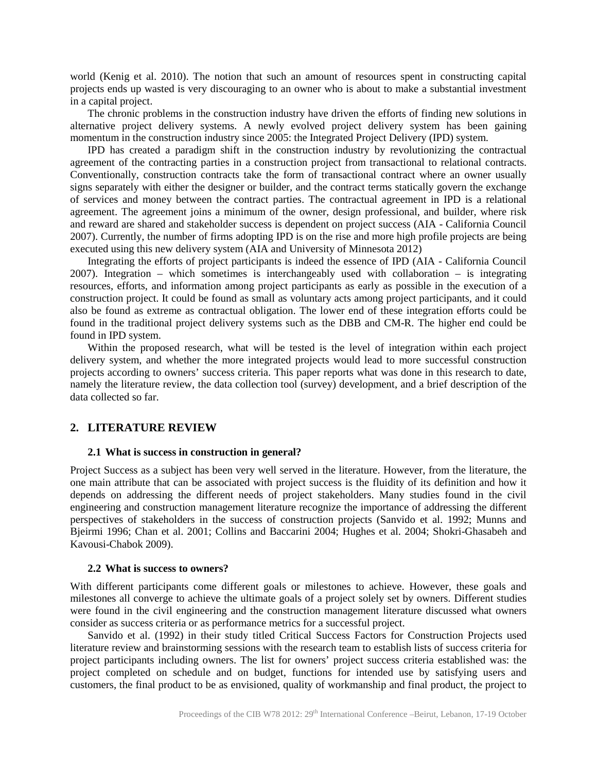world (Kenig et al. 2010). The notion that such an amount of resources spent in constructing capital projects ends up wasted is very discouraging to an owner who is about to make a substantial investment in a capital project.

The chronic problems in the construction industry have driven the efforts of finding new solutions in alternative project delivery systems. A newly evolved project delivery system has been gaining momentum in the construction industry since 2005: the Integrated Project Delivery (IPD) system.

IPD has created a paradigm shift in the construction industry by revolutionizing the contractual agreement of the contracting parties in a construction project from transactional to relational contracts. Conventionally, construction contracts take the form of transactional contract where an owner usually signs separately with either the designer or builder, and the contract terms statically govern the exchange of services and money between the contract parties. The contractual agreement in IPD is a relational agreement. The agreement joins a minimum of the owner, design professional, and builder, where risk and reward are shared and stakeholder success is dependent on project success (AIA - California Council 2007). Currently, the number of firms adopting IPD is on the rise and more high profile projects are being executed using this new delivery system (AIA and University of Minnesota 2012)

Integrating the efforts of project participants is indeed the essence of IPD (AIA - California Council 2007). Integration – which sometimes is interchangeably used with collaboration – is integrating resources, efforts, and information among project participants as early as possible in the execution of a construction project. It could be found as small as voluntary acts among project participants, and it could also be found as extreme as contractual obligation. The lower end of these integration efforts could be found in the traditional project delivery systems such as the DBB and CM-R. The higher end could be found in IPD system.

Within the proposed research, what will be tested is the level of integration within each project delivery system, and whether the more integrated projects would lead to more successful construction projects according to owners' success criteria. This paper reports what was done in this research to date, namely the literature review, the data collection tool (survey) development, and a brief description of the data collected so far.

#### **2. LITERATURE REVIEW**

#### **2.1 What is success in construction in general?**

Project Success as a subject has been very well served in the literature. However, from the literature, the one main attribute that can be associated with project success is the fluidity of its definition and how it depends on addressing the different needs of project stakeholders. Many studies found in the civil engineering and construction management literature recognize the importance of addressing the different perspectives of stakeholders in the success of construction projects (Sanvido et al. 1992; Munns and Bjeirmi 1996; Chan et al. 2001; Collins and Baccarini 2004; Hughes et al. 2004; Shokri-Ghasabeh and Kavousi-Chabok 2009).

#### **2.2 What is success to owners?**

With different participants come different goals or milestones to achieve. However, these goals and milestones all converge to achieve the ultimate goals of a project solely set by owners. Different studies were found in the civil engineering and the construction management literature discussed what owners consider as success criteria or as performance metrics for a successful project.

Sanvido et al. (1992) in their study titled Critical Success Factors for Construction Projects used literature review and brainstorming sessions with the research team to establish lists of success criteria for project participants including owners. The list for owners' project success criteria established was: the project completed on schedule and on budget, functions for intended use by satisfying users and customers, the final product to be as envisioned, quality of workmanship and final product, the project to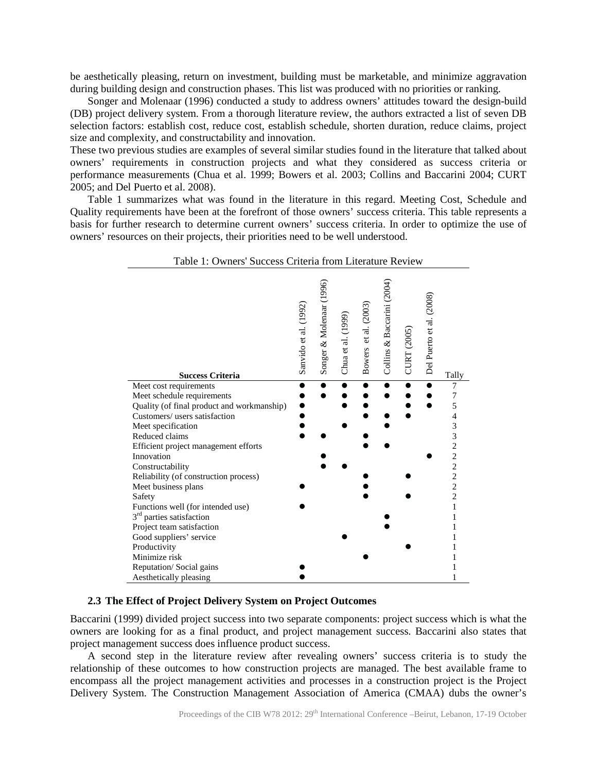be aesthetically pleasing, return on investment, building must be marketable, and minimize aggravation during building design and construction phases. This list was produced with no priorities or ranking.

Songer and Molenaar (1996) conducted a study to address owners' attitudes toward the design-build (DB) project delivery system. From a thorough literature review, the authors extracted a list of seven DB selection factors: establish cost, reduce cost, establish schedule, shorten duration, reduce claims, project size and complexity, and constructability and innovation.

These two previous studies are examples of several similar studies found in the literature that talked about owners' requirements in construction projects and what they considered as success criteria or performance measurements (Chua et al. 1999; Bowers et al. 2003; Collins and Baccarini 2004; CURT 2005; and Del Puerto et al. 2008).

Table 1 summarizes what was found in the literature in this regard. Meeting Cost, Schedule and Quality requirements have been at the forefront of those owners' success criteria. This table represents a basis for further research to determine current owners' success criteria. In order to optimize the use of owners' resources on their projects, their priorities need to be well understood.

| Table 1: Owners' Success Criteria from Literature Review                                           |                       |                          |                    |                      |                            |                    |                          |                                            |
|----------------------------------------------------------------------------------------------------|-----------------------|--------------------------|--------------------|----------------------|----------------------------|--------------------|--------------------------|--------------------------------------------|
| <b>Success Criteria</b>                                                                            | Sanvido et al. (1992) | Songer & Molenaar (1996) | Chua et al. (1999) | Bowers et al. (2003) | Collins & Baccarini (2004) | <b>CURT (2005)</b> | Del Puerto et al. (2008) | Tally                                      |
| Meet cost requirements<br>Meet schedule requirements<br>Quality (of final product and workmanship) |                       |                          |                    |                      |                            |                    |                          | 7<br>5                                     |
| Customers/ users satisfaction                                                                      |                       |                          |                    |                      |                            |                    |                          |                                            |
| Meet specification                                                                                 |                       |                          |                    |                      |                            |                    |                          | 3                                          |
| Reduced claims                                                                                     |                       |                          |                    |                      |                            |                    |                          | $\begin{array}{c} 3 \\ 2 \\ 2 \end{array}$ |
| Efficient project management efforts                                                               |                       |                          |                    |                      |                            |                    |                          |                                            |
| Innovation                                                                                         |                       |                          |                    |                      |                            |                    |                          |                                            |
| Constructability                                                                                   |                       |                          |                    |                      |                            |                    |                          |                                            |
| Reliability (of construction process)                                                              |                       |                          |                    |                      |                            |                    |                          | $\frac{2}{2}$                              |
| Meet business plans                                                                                |                       |                          |                    |                      |                            |                    |                          |                                            |
| Safety                                                                                             |                       |                          |                    |                      |                            |                    |                          | $\overline{c}$                             |
| Functions well (for intended use)                                                                  |                       |                          |                    |                      |                            |                    |                          | $\mathbf{1}$                               |
| 3 <sup>rd</sup> parties satisfaction                                                               |                       |                          |                    |                      |                            |                    |                          |                                            |
| Project team satisfaction                                                                          |                       |                          |                    |                      |                            |                    |                          |                                            |
| Good suppliers' service                                                                            |                       |                          |                    |                      |                            |                    |                          |                                            |
| Productivity                                                                                       |                       |                          |                    |                      |                            |                    |                          |                                            |
| Minimize risk                                                                                      |                       |                          |                    |                      |                            |                    |                          |                                            |
| Reputation/Social gains                                                                            |                       |                          |                    |                      |                            |                    |                          |                                            |
| Aesthetically pleasing                                                                             |                       |                          |                    |                      |                            |                    |                          |                                            |

### **2.3 The Effect of Project Delivery System on Project Outcomes**

Baccarini (1999) divided project success into two separate components: project success which is what the owners are looking for as a final product, and project management success. Baccarini also states that project management success does influence product success.

A second step in the literature review after revealing owners' success criteria is to study the relationship of these outcomes to how construction projects are managed. The best available frame to encompass all the project management activities and processes in a construction project is the Project Delivery System. The Construction Management Association of America (CMAA) dubs the owner's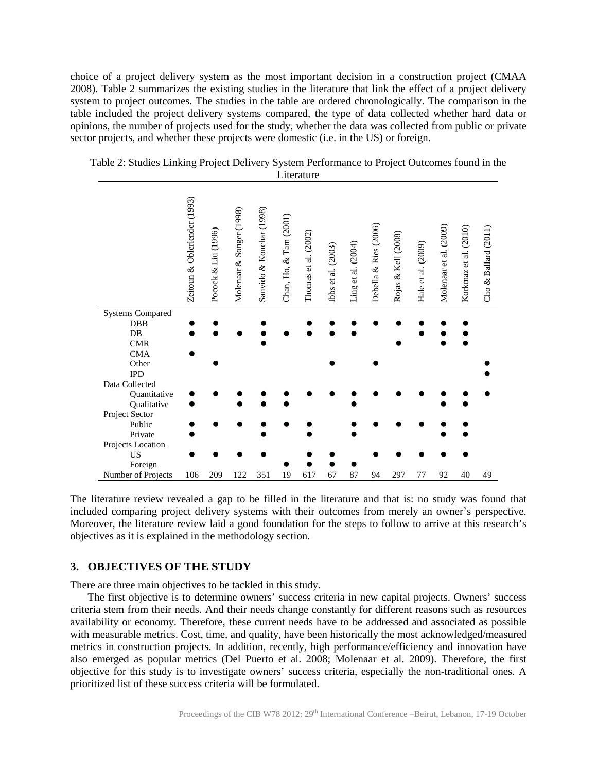choice of a project delivery system as the most important decision in a construction project (CMAA 2008). Table 2 summarizes the existing studies in the literature that link the effect of a project delivery system to project outcomes. The studies in the table are ordered chronologically. The comparison in the table included the project delivery systems compared, the type of data collected whether hard data or opinions, the number of projects used for the study, whether the data was collected from public or private sector projects, and whether these projects were domestic (i.e. in the US) or foreign.

|                             | Zeitoun & Oblerlender (1993) | Pocock & Liu (1996) | Molenaar & Songer (1998) | Sanvido & Konchar (1998) | Chan, Ho, & Tam (2001) | Thomas et al. (2002) | Ibbs et al. (2003) | Ling et al. (2004) | Debella & Ries (2006) | Rojas & Kell (2008) | Hale et al. (2009) | Molenaar et al. (2009) | Korkmaz et al. (2010) | Ballard (2011)<br>Cho $\&$ |
|-----------------------------|------------------------------|---------------------|--------------------------|--------------------------|------------------------|----------------------|--------------------|--------------------|-----------------------|---------------------|--------------------|------------------------|-----------------------|----------------------------|
| <b>Systems Compared</b>     |                              |                     |                          |                          |                        |                      |                    |                    |                       |                     |                    |                        |                       |                            |
| DBB                         |                              |                     |                          |                          |                        |                      |                    |                    |                       |                     |                    |                        |                       |                            |
| $DB$                        |                              |                     |                          |                          |                        |                      |                    |                    |                       |                     |                    |                        |                       |                            |
| <b>CMR</b>                  |                              |                     |                          |                          |                        |                      |                    |                    |                       |                     |                    |                        |                       |                            |
| <b>CMA</b>                  |                              |                     |                          |                          |                        |                      |                    |                    |                       |                     |                    |                        |                       |                            |
| Other                       |                              |                     |                          |                          |                        |                      |                    |                    |                       |                     |                    |                        |                       |                            |
| <b>IPD</b>                  |                              |                     |                          |                          |                        |                      |                    |                    |                       |                     |                    |                        |                       |                            |
| Data Collected              |                              |                     |                          |                          |                        |                      |                    |                    |                       |                     |                    |                        |                       |                            |
| Quantitative<br>Qualitative |                              |                     |                          |                          |                        |                      |                    |                    |                       |                     |                    |                        |                       |                            |
| Project Sector              |                              |                     |                          |                          |                        |                      |                    |                    |                       |                     |                    |                        |                       |                            |
| Public                      |                              |                     |                          |                          |                        |                      |                    |                    |                       |                     |                    |                        |                       |                            |
| Private                     |                              |                     |                          |                          |                        |                      |                    |                    |                       |                     |                    |                        |                       |                            |
| Projects Location           |                              |                     |                          |                          |                        |                      |                    |                    |                       |                     |                    |                        |                       |                            |
| <b>US</b>                   |                              |                     |                          |                          |                        |                      |                    |                    |                       |                     |                    |                        |                       |                            |
| Foreign                     |                              |                     |                          |                          |                        |                      |                    |                    |                       |                     |                    |                        |                       |                            |
| Number of Projects          | 106                          | 209                 | 122                      | 351                      | 19                     | 617                  | 67                 | 87                 | 94                    | 297                 | 77                 | 92                     | 40                    | 49                         |

Table 2: Studies Linking Project Delivery System Performance to Project Outcomes found in the Literature

The literature review revealed a gap to be filled in the literature and that is: no study was found that included comparing project delivery systems with their outcomes from merely an owner's perspective. Moreover, the literature review laid a good foundation for the steps to follow to arrive at this research's objectives as it is explained in the methodology section.

## **3. OBJECTIVES OF THE STUDY**

There are three main objectives to be tackled in this study.

The first objective is to determine owners' success criteria in new capital projects. Owners' success criteria stem from their needs. And their needs change constantly for different reasons such as resources availability or economy. Therefore, these current needs have to be addressed and associated as possible with measurable metrics. Cost, time, and quality, have been historically the most acknowledged/measured metrics in construction projects. In addition, recently, high performance/efficiency and innovation have also emerged as popular metrics (Del Puerto et al. 2008; Molenaar et al. 2009). Therefore, the first objective for this study is to investigate owners' success criteria, especially the non-traditional ones. A prioritized list of these success criteria will be formulated.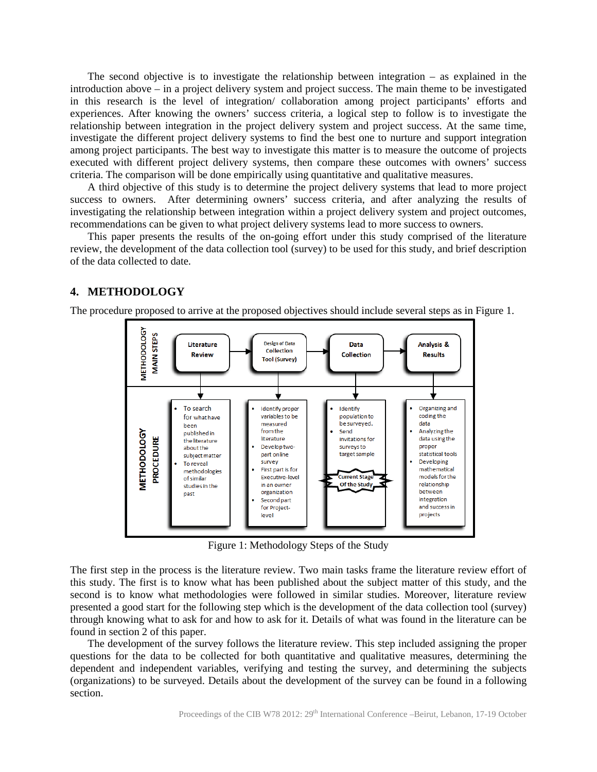The second objective is to investigate the relationship between integration – as explained in the introduction above – in a project delivery system and project success. The main theme to be investigated in this research is the level of integration/ collaboration among project participants' efforts and experiences. After knowing the owners' success criteria, a logical step to follow is to investigate the relationship between integration in the project delivery system and project success. At the same time, investigate the different project delivery systems to find the best one to nurture and support integration among project participants. The best way to investigate this matter is to measure the outcome of projects executed with different project delivery systems, then compare these outcomes with owners' success criteria. The comparison will be done empirically using quantitative and qualitative measures.

A third objective of this study is to determine the project delivery systems that lead to more project success to owners. After determining owners' success criteria, and after analyzing the results of investigating the relationship between integration within a project delivery system and project outcomes, recommendations can be given to what project delivery systems lead to more success to owners.

This paper presents the results of the on-going effort under this study comprised of the literature review, the development of the data collection tool (survey) to be used for this study, and brief description of the data collected to date.

# **4. METHODOLOGY**

The procedure proposed to arrive at the proposed objectives should include several steps as in Figure 1.



Figure 1: Methodology Steps of the Study

The first step in the process is the literature review. Two main tasks frame the literature review effort of this study. The first is to know what has been published about the subject matter of this study, and the second is to know what methodologies were followed in similar studies. Moreover, literature review presented a good start for the following step which is the development of the data collection tool (survey) through knowing what to ask for and how to ask for it. Details of what was found in the literature can be found in section 2 of this paper.

The development of the survey follows the literature review. This step included assigning the proper questions for the data to be collected for both quantitative and qualitative measures, determining the dependent and independent variables, verifying and testing the survey, and determining the subjects (organizations) to be surveyed. Details about the development of the survey can be found in a following section.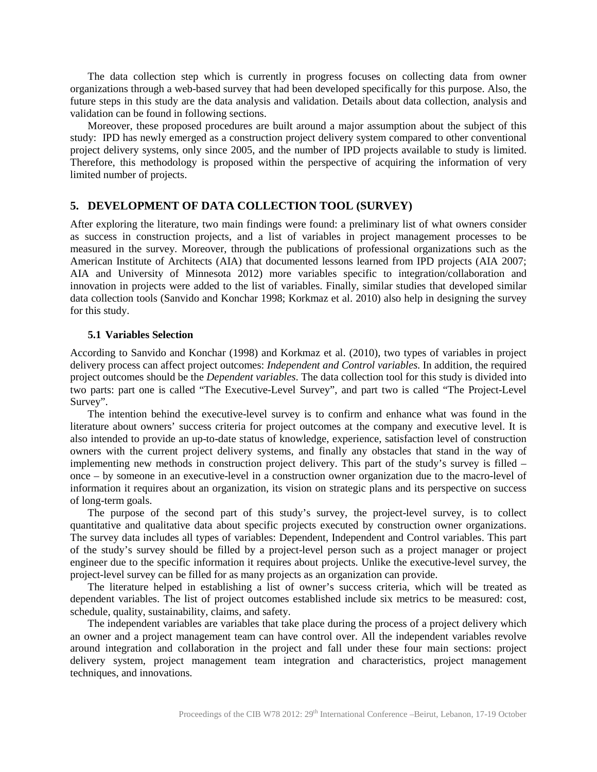The data collection step which is currently in progress focuses on collecting data from owner organizations through a web-based survey that had been developed specifically for this purpose. Also, the future steps in this study are the data analysis and validation. Details about data collection, analysis and validation can be found in following sections.

Moreover, these proposed procedures are built around a major assumption about the subject of this study: IPD has newly emerged as a construction project delivery system compared to other conventional project delivery systems, only since 2005, and the number of IPD projects available to study is limited. Therefore, this methodology is proposed within the perspective of acquiring the information of very limited number of projects.

## **5. DEVELOPMENT OF DATA COLLECTION TOOL (SURVEY)**

After exploring the literature, two main findings were found: a preliminary list of what owners consider as success in construction projects, and a list of variables in project management processes to be measured in the survey. Moreover, through the publications of professional organizations such as the American Institute of Architects (AIA) that documented lessons learned from IPD projects (AIA 2007; AIA and University of Minnesota 2012) more variables specific to integration/collaboration and innovation in projects were added to the list of variables. Finally, similar studies that developed similar data collection tools (Sanvido and Konchar 1998; Korkmaz et al. 2010) also help in designing the survey for this study.

#### **5.1 Variables Selection**

According to Sanvido and Konchar (1998) and Korkmaz et al. (2010), two types of variables in project delivery process can affect project outcomes: *Independent and Control variables*. In addition, the required project outcomes should be the *Dependent variables*. The data collection tool for this study is divided into two parts: part one is called "The Executive-Level Survey", and part two is called "The Project-Level Survey".

The intention behind the executive-level survey is to confirm and enhance what was found in the literature about owners' success criteria for project outcomes at the company and executive level. It is also intended to provide an up-to-date status of knowledge, experience, satisfaction level of construction owners with the current project delivery systems, and finally any obstacles that stand in the way of implementing new methods in construction project delivery. This part of the study's survey is filled – once – by someone in an executive-level in a construction owner organization due to the macro-level of information it requires about an organization, its vision on strategic plans and its perspective on success of long-term goals.

The purpose of the second part of this study's survey, the project-level survey, is to collect quantitative and qualitative data about specific projects executed by construction owner organizations. The survey data includes all types of variables: Dependent, Independent and Control variables. This part of the study's survey should be filled by a project-level person such as a project manager or project engineer due to the specific information it requires about projects. Unlike the executive-level survey, the project-level survey can be filled for as many projects as an organization can provide.

The literature helped in establishing a list of owner's success criteria, which will be treated as dependent variables. The list of project outcomes established include six metrics to be measured: cost, schedule, quality, sustainability, claims, and safety.

The independent variables are variables that take place during the process of a project delivery which an owner and a project management team can have control over. All the independent variables revolve around integration and collaboration in the project and fall under these four main sections: project delivery system, project management team integration and characteristics, project management techniques, and innovations.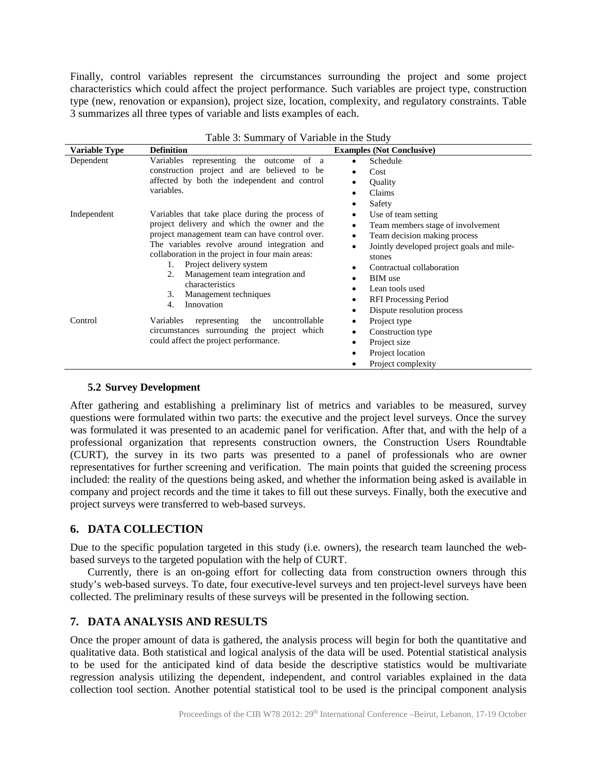Finally, control variables represent the circumstances surrounding the project and some project characteristics which could affect the project performance. Such variables are project type, construction type (new, renovation or expansion), project size, location, complexity, and regulatory constraints. Table 3 summarizes all three types of variable and lists examples of each.

| Table 3: Summary of Variable in the Study |                                                                                                                                                                                                                                                                                                                                                                                                       |                                                                                                                                                                                                                                                                                                   |  |  |  |  |
|-------------------------------------------|-------------------------------------------------------------------------------------------------------------------------------------------------------------------------------------------------------------------------------------------------------------------------------------------------------------------------------------------------------------------------------------------------------|---------------------------------------------------------------------------------------------------------------------------------------------------------------------------------------------------------------------------------------------------------------------------------------------------|--|--|--|--|
| Variable Type                             | <b>Definition</b>                                                                                                                                                                                                                                                                                                                                                                                     | <b>Examples (Not Conclusive)</b>                                                                                                                                                                                                                                                                  |  |  |  |  |
| Dependent                                 | Variables representing the outcome<br>of a<br>construction project and are believed to be<br>affected by both the independent and control<br>variables.                                                                                                                                                                                                                                               | Schedule<br>Cost<br>٠<br>Quality<br>Claims<br>Safety                                                                                                                                                                                                                                              |  |  |  |  |
| Independent                               | Variables that take place during the process of<br>project delivery and which the owner and the<br>project management team can have control over.<br>The variables revolve around integration and<br>collaboration in the project in four main areas:<br>Project delivery system<br>1.<br>Management team integration and<br>2.<br>characteristics<br>3.<br>Management techniques<br>Innovation<br>4. | Use of team setting<br>Team members stage of involvement<br>Team decision making process<br>٠<br>Jointly developed project goals and mile-<br>$\bullet$<br>stones<br>Contractual collaboration<br><b>BIM</b> use<br>Lean tools used<br><b>RFI</b> Processing Period<br>Dispute resolution process |  |  |  |  |
| Control                                   | Variables<br>representing<br>uncontrollable<br>the<br>circumstances surrounding the project which<br>could affect the project performance.                                                                                                                                                                                                                                                            | Project type<br>Construction type<br>Project size<br>٠<br>Project location<br>Project complexity                                                                                                                                                                                                  |  |  |  |  |

#### **5.2 Survey Development**

After gathering and establishing a preliminary list of metrics and variables to be measured, survey questions were formulated within two parts: the executive and the project level surveys. Once the survey was formulated it was presented to an academic panel for verification. After that, and with the help of a professional organization that represents construction owners, the Construction Users Roundtable (CURT), the survey in its two parts was presented to a panel of professionals who are owner representatives for further screening and verification. The main points that guided the screening process included: the reality of the questions being asked, and whether the information being asked is available in company and project records and the time it takes to fill out these surveys. Finally, both the executive and project surveys were transferred to web-based surveys.

# **6. DATA COLLECTION**

Due to the specific population targeted in this study (i.e. owners), the research team launched the webbased surveys to the targeted population with the help of CURT.

Currently, there is an on-going effort for collecting data from construction owners through this study's web-based surveys. To date, four executive-level surveys and ten project-level surveys have been collected. The preliminary results of these surveys will be presented in the following section.

# **7. DATA ANALYSIS AND RESULTS**

Once the proper amount of data is gathered, the analysis process will begin for both the quantitative and qualitative data. Both statistical and logical analysis of the data will be used. Potential statistical analysis to be used for the anticipated kind of data beside the descriptive statistics would be multivariate regression analysis utilizing the dependent, independent, and control variables explained in the data collection tool section. Another potential statistical tool to be used is the principal component analysis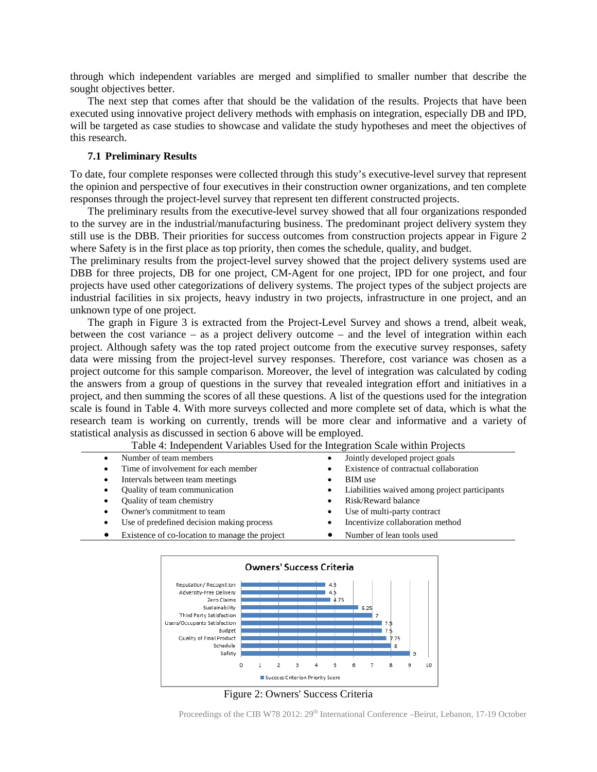through which independent variables are merged and simplified to smaller number that describe the sought objectives better.

The next step that comes after that should be the validation of the results. Projects that have been executed using innovative project delivery methods with emphasis on integration, especially DB and IPD, will be targeted as case studies to showcase and validate the study hypotheses and meet the objectives of this research.

#### **7.1 Preliminary Results**

To date, four complete responses were collected through this study's executive-level survey that represent the opinion and perspective of four executives in their construction owner organizations, and ten complete responses through the project-level survey that represent ten different constructed projects.

The preliminary results from the executive-level survey showed that all four organizations responded to the survey are in the industrial/manufacturing business. The predominant project delivery system they still use is the DBB. Their priorities for success outcomes from construction projects appear in Figure 2 where Safety is in the first place as top priority, then comes the schedule, quality, and budget.

The preliminary results from the project-level survey showed that the project delivery systems used are DBB for three projects, DB for one project, CM-Agent for one project, IPD for one project, and four projects have used other categorizations of delivery systems. The project types of the subject projects are industrial facilities in six projects, heavy industry in two projects, infrastructure in one project, and an unknown type of one project.

The graph in Figure 3 is extracted from the Project-Level Survey and shows a trend, albeit weak, between the cost variance – as a project delivery outcome – and the level of integration within each project. Although safety was the top rated project outcome from the executive survey responses, safety data were missing from the project-level survey responses. Therefore, cost variance was chosen as a project outcome for this sample comparison. Moreover, the level of integration was calculated by coding the answers from a group of questions in the survey that revealed integration effort and initiatives in a project, and then summing the scores of all these questions. A list of the questions used for the integration scale is found in Table 4. With more surveys collected and more complete set of data, which is what the research team is working on currently, trends will be more clear and informative and a variety of statistical analysis as discussed in section 6 above will be employed.

| Table 4: independent variables used for the integration Scale within Projects |                                                            |  |  |  |  |  |
|-------------------------------------------------------------------------------|------------------------------------------------------------|--|--|--|--|--|
| Number of team members<br>$\bullet$                                           | Jointly developed project goals<br>٠                       |  |  |  |  |  |
| Time of involvement for each member<br>$\bullet$                              | Existence of contractual collaboration                     |  |  |  |  |  |
| Intervals between team meetings<br>٠                                          | BIM use                                                    |  |  |  |  |  |
| Quality of team communication<br>٠                                            | Liabilities waived among project participants<br>$\bullet$ |  |  |  |  |  |
| Quality of team chemistry<br>٠                                                | Risk/Reward balance                                        |  |  |  |  |  |
| Owner's commitment to team<br>٠                                               | Use of multi-party contract                                |  |  |  |  |  |
| Use of predefined decision making process<br>$\bullet$                        | Incentivize collaboration method                           |  |  |  |  |  |
| Existence of co-location to manage the project<br>$\bullet$                   | Number of lean tools used<br>$\bullet$                     |  |  |  |  |  |

,<br>Table 4: Independent Variables Used for the Integ



Figure 2: Owners' Success Criteria

Proceedings of the CIB W78 2012: 29<sup>th</sup> International Conference –Beirut, Lebanon, 17-19 October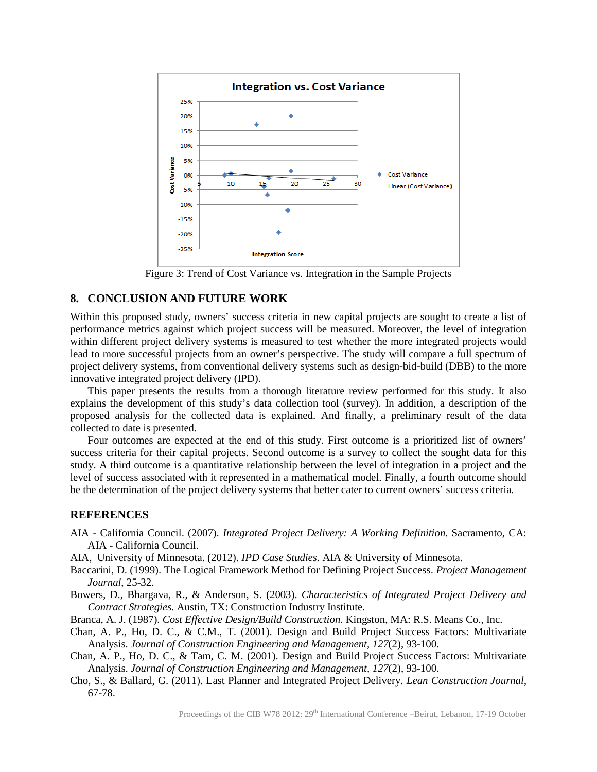

Figure 3: Trend of Cost Variance vs. Integration in the Sample Projects

#### **8. CONCLUSION AND FUTURE WORK**

Within this proposed study, owners' success criteria in new capital projects are sought to create a list of performance metrics against which project success will be measured. Moreover, the level of integration within different project delivery systems is measured to test whether the more integrated projects would lead to more successful projects from an owner's perspective. The study will compare a full spectrum of project delivery systems, from conventional delivery systems such as design-bid-build (DBB) to the more innovative integrated project delivery (IPD).

This paper presents the results from a thorough literature review performed for this study. It also explains the development of this study's data collection tool (survey). In addition, a description of the proposed analysis for the collected data is explained. And finally, a preliminary result of the data collected to date is presented.

Four outcomes are expected at the end of this study. First outcome is a prioritized list of owners' success criteria for their capital projects. Second outcome is a survey to collect the sought data for this study. A third outcome is a quantitative relationship between the level of integration in a project and the level of success associated with it represented in a mathematical model. Finally, a fourth outcome should be the determination of the project delivery systems that better cater to current owners' success criteria.

## **REFERENCES**

- AIA California Council. (2007). *Integrated Project Delivery: A Working Definition.* Sacramento, CA: AIA - California Council.
- AIA, University of Minnesota. (2012). *IPD Case Studies.* AIA & University of Minnesota.
- Baccarini, D. (1999). The Logical Framework Method for Defining Project Success. *Project Management Journal*, 25-32.
- Bowers, D., Bhargava, R., & Anderson, S. (2003). *Characteristics of Integrated Project Delivery and Contract Strategies.* Austin, TX: Construction Industry Institute.
- Branca, A. J. (1987). *Cost Effective Design/Build Construction.* Kingston, MA: R.S. Means Co., Inc.
- Chan, A. P., Ho, D. C., & C.M., T. (2001). Design and Build Project Success Factors: Multivariate Analysis. *Journal of Construction Engineering and Management, 127*(2), 93-100.
- Chan, A. P., Ho, D. C., & Tam, C. M. (2001). Design and Build Project Success Factors: Multivariate Analysis. *Journal of Construction Engineering and Management, 127*(2), 93-100.
- Cho, S., & Ballard, G. (2011). Last Planner and Integrated Project Delivery. *Lean Construction Journal*, 67-78.